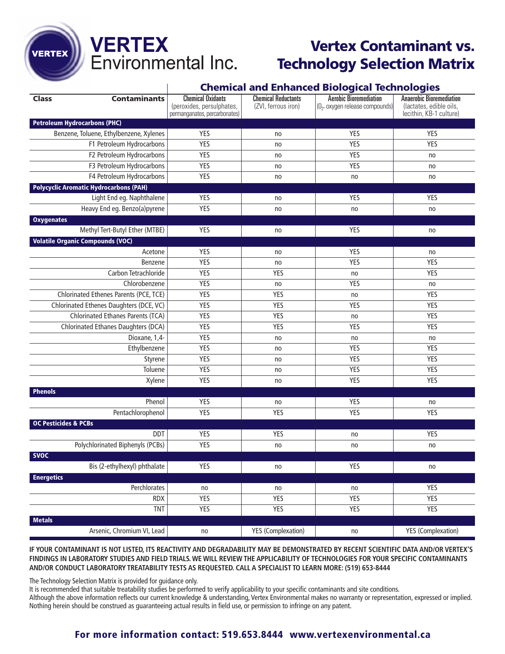# **VERTEX**<br>Environmental Inc.

VERTEX

## **Vertex Contaminant vs. Technology Selection Matrix**

### **Chemical and Enhanced Biological Technologies**

|                                         |                                               |                                                                                        |                                                   | iological icentiologica                                         |                                                                                      |  |
|-----------------------------------------|-----------------------------------------------|----------------------------------------------------------------------------------------|---------------------------------------------------|-----------------------------------------------------------------|--------------------------------------------------------------------------------------|--|
| <b>Class</b>                            | <b>Contaminants</b>                           | <b>Chemical Oxidants</b><br>(peroxides, persulphates,<br>permanganates, percarbonates) | <b>Chemical Reductants</b><br>(ZVI, ferrous iron) | <b>Aerobic Bioremediation</b><br>(02, oxygen release compounds) | <b>Anaerobic Bioremediation</b><br>(lactates, edible oils,<br>lecithin, KB-1 culture |  |
| <b>Petroleum Hydrocarbons (PHC)</b>     |                                               |                                                                                        |                                                   |                                                                 |                                                                                      |  |
| Benzene, Toluene, Ethylbenzene, Xylenes |                                               | YES                                                                                    | no                                                | <b>YES</b>                                                      | <b>YES</b>                                                                           |  |
| F1 Petroleum Hydrocarbons               |                                               | <b>YES</b>                                                                             | no                                                | <b>YES</b>                                                      | <b>YES</b>                                                                           |  |
|                                         | F2 Petroleum Hydrocarbons                     | YES                                                                                    | no                                                | YES                                                             | no                                                                                   |  |
| F3 Petroleum Hydrocarbons               |                                               | YES                                                                                    | no                                                | <b>YES</b>                                                      | no                                                                                   |  |
|                                         | F4 Petroleum Hydrocarbons                     | YES                                                                                    | no                                                | no                                                              | no                                                                                   |  |
|                                         | <b>Polycyclic Aromatic Hydrocarbons (PAH)</b> |                                                                                        |                                                   |                                                                 |                                                                                      |  |
| Light End eg. Naphthalene               |                                               | YES                                                                                    | no                                                | <b>YES</b>                                                      | YES                                                                                  |  |
| Heavy End eg. Benzo(a)pyrene            |                                               | YES                                                                                    | no                                                | no                                                              | no                                                                                   |  |
| <b>Oxygenates</b>                       |                                               |                                                                                        |                                                   |                                                                 |                                                                                      |  |
|                                         | Methyl Tert-Butyl Ether (MTBE)                | YES                                                                                    | no                                                | YES                                                             | no                                                                                   |  |
| <b>Volatile Organic Compounds (VOC)</b> |                                               |                                                                                        |                                                   |                                                                 |                                                                                      |  |
|                                         | Acetone                                       | YES                                                                                    | no                                                | YES                                                             | no                                                                                   |  |
|                                         | Benzene                                       | <b>YES</b>                                                                             | no                                                | <b>YES</b>                                                      | <b>YES</b>                                                                           |  |
|                                         | Carbon Tetrachloride                          | <b>YES</b>                                                                             | YES                                               | no                                                              | YES                                                                                  |  |
|                                         | Chlorobenzene                                 | YES                                                                                    | no                                                | <b>YES</b>                                                      | no                                                                                   |  |
|                                         | Chlorinated Ethenes Parents (PCE, TCE)        | YES                                                                                    | YES                                               | no                                                              | YES                                                                                  |  |
|                                         | Chlorinated Ethenes Daughters (DCE, VC)       | YES                                                                                    | <b>YES</b>                                        | <b>YES</b>                                                      | <b>YES</b>                                                                           |  |
|                                         | Chlorinated Ethanes Parents (TCA)             | <b>YES</b>                                                                             | <b>YES</b>                                        | no                                                              | <b>YES</b>                                                                           |  |
|                                         | Chlorinated Ethanes Daughters (DCA)           |                                                                                        | <b>YES</b>                                        | <b>YES</b>                                                      | YES                                                                                  |  |
| Dioxane, 1,4-                           |                                               | <b>YES</b>                                                                             | no                                                | no                                                              | no                                                                                   |  |
| Ethylbenzene                            |                                               | YES                                                                                    | no                                                | YES                                                             | YES                                                                                  |  |
|                                         | Styrene                                       | YES                                                                                    | no                                                | YES                                                             | YES                                                                                  |  |
|                                         | Toluene                                       | YES                                                                                    | no                                                | <b>YES</b>                                                      | <b>YES</b>                                                                           |  |
|                                         | Xylene                                        | <b>YES</b>                                                                             | no                                                | YES                                                             | <b>YES</b>                                                                           |  |
| <b>Phenols</b>                          |                                               |                                                                                        |                                                   |                                                                 |                                                                                      |  |
|                                         | Phenol                                        | YES                                                                                    | no                                                | <b>YES</b>                                                      | no                                                                                   |  |
|                                         | Pentachlorophenol                             | YES                                                                                    | YES                                               | YES                                                             | YES                                                                                  |  |
| <b>OC Pesticides &amp; PCBs</b>         |                                               |                                                                                        |                                                   |                                                                 |                                                                                      |  |
|                                         | <b>DDT</b>                                    | <b>YES</b>                                                                             | <b>YES</b>                                        | no                                                              | <b>YES</b>                                                                           |  |
|                                         | Polychlorinated Biphenyls (PCBs)              | <b>YES</b>                                                                             | no                                                | no                                                              | no                                                                                   |  |
| <b>SVOC</b>                             |                                               |                                                                                        |                                                   |                                                                 |                                                                                      |  |
|                                         | Bis (2-ethylhexyl) phthalate                  | YES                                                                                    | no                                                | <b>YES</b>                                                      | no                                                                                   |  |
| <b>Energetics</b>                       |                                               |                                                                                        |                                                   |                                                                 |                                                                                      |  |
|                                         | Perchlorates                                  | no                                                                                     | no                                                | no                                                              | <b>YES</b>                                                                           |  |
| <b>RDX</b>                              |                                               | <b>YES</b>                                                                             | YES                                               | YES                                                             |                                                                                      |  |
|                                         | <b>TNT</b>                                    | YES                                                                                    | <b>YES</b>                                        | <b>YES</b>                                                      | <b>YES</b>                                                                           |  |
| <b>Metals</b>                           |                                               |                                                                                        |                                                   |                                                                 |                                                                                      |  |
|                                         | Arsenic, Chromium VI, Lead                    | no                                                                                     | <b>YES</b> (Complexation)                         | no                                                              | <b>YES (Complexation)</b>                                                            |  |

**IF YOUR CONTAMINANT IS NOT LISTED, ITS REACTIVITY AND DEGRADABILITY MAY BE DEMONSTRATED BY RECENT SCIENTIFIC DATA AND/OR VERTEX'S FINDINGS IN LABORATORY STUDIES AND FIELD TRIALS. WE WILL REVIEW THE APPLICABILITY OF TECHNOLOGIES FOR YOUR SPECIFIC CONTAMINANTS AND/OR CONDUCT LABORATORY TREATABILITY TESTS AS REQUESTED. CALL A SPECIALIST TO LEARN MORE: (519) 653-8444**

The Technology Selection Matrix is provided for guidance only.

It is recommended that suitable treatability studies be performed to verify applicability to your specific contaminants and site conditions.

Although the above information reflects our current knowledge & understanding, Vertex Environmental makes no warranty or representation, expressed or implied. Nothing herein should be construed as guaranteeing actual results in field use, or permission to infringe on any patent.

## **For more information contact: 519.653.8444 www.vertexenvironmental.ca**